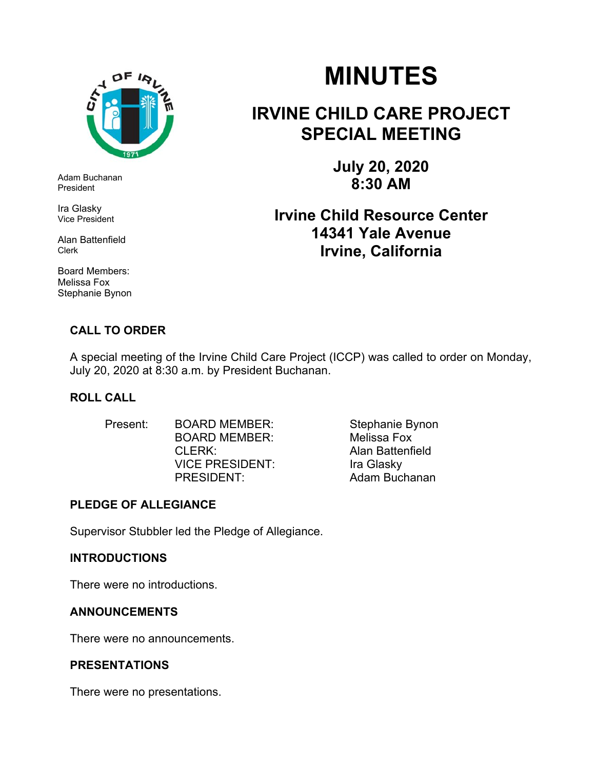

Adam Buchanan President

Ira Glasky Vice President

Alan Battenfield Clerk

Board Members: Melissa Fox Stephanie Bynon

#### **CALL TO ORDER**

# **MINUTES**

## **IRVINE CHILD CARE PROJECT SPECIAL MEETING**

**July 20, 2020 8:30 AM** 

### **Irvine Child Resource Center 14341 Yale Avenue Irvine, California**

A special meeting of the Irvine Child Care Project (ICCP) was called to order on Monday, July 20, 2020 at 8:30 a.m. by President Buchanan.

#### **ROLL CALL**

Present: BOARD MEMBER: Stephanie Bynon BOARD MEMBER: Melissa Fox CLERK: Alan Battenfield VICE PRESIDENT:Ira Glasky PRESIDENT: Adam Buchanan

#### **PLEDGE OF ALLEGIANCE**

Supervisor Stubbler led the Pledge of Allegiance.

#### **INTRODUCTIONS**

There were no introductions.

#### **ANNOUNCEMENTS**

There were no announcements.

#### **PRESENTATIONS**

There were no presentations.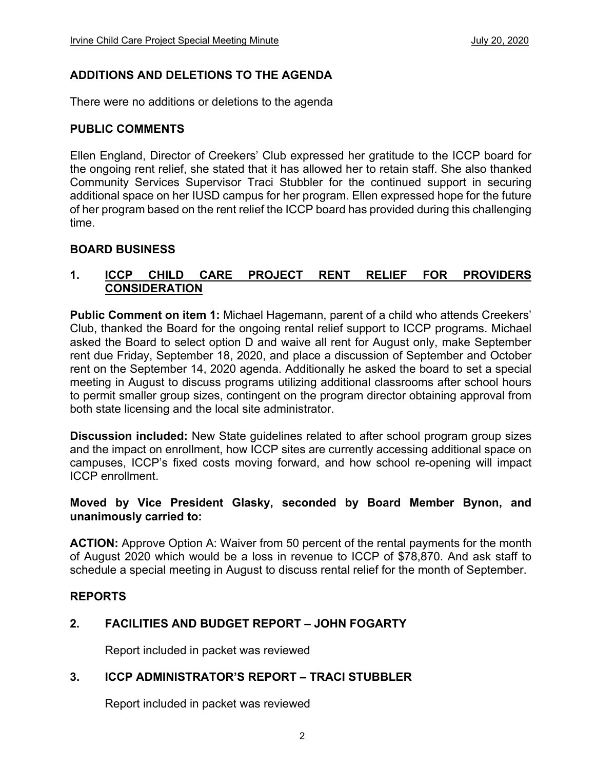#### **ADDITIONS AND DELETIONS TO THE AGENDA**

There were no additions or deletions to the agenda

#### **PUBLIC COMMENTS**

Ellen England, Director of Creekers' Club expressed her gratitude to the ICCP board for the ongoing rent relief, she stated that it has allowed her to retain staff. She also thanked Community Services Supervisor Traci Stubbler for the continued support in securing additional space on her IUSD campus for her program. Ellen expressed hope for the future of her program based on the rent relief the ICCP board has provided during this challenging time.

#### **BOARD BUSINESS**

#### **1. ICCP CHILD CARE PROJECT RENT RELIEF FOR PROVIDERS CONSIDERATION**

**Public Comment on item 1:** Michael Hagemann, parent of a child who attends Creekers' Club, thanked the Board for the ongoing rental relief support to ICCP programs. Michael asked the Board to select option D and waive all rent for August only, make September rent due Friday, September 18, 2020, and place a discussion of September and October rent on the September 14, 2020 agenda. Additionally he asked the board to set a special meeting in August to discuss programs utilizing additional classrooms after school hours to permit smaller group sizes, contingent on the program director obtaining approval from both state licensing and the local site administrator.

**Discussion included:** New State guidelines related to after school program group sizes and the impact on enrollment, how ICCP sites are currently accessing additional space on campuses, ICCP's fixed costs moving forward, and how school re-opening will impact ICCP enrollment.

#### **Moved by Vice President Glasky, seconded by Board Member Bynon, and unanimously carried to:**

**ACTION:** Approve Option A: Waiver from 50 percent of the rental payments for the month of August 2020 which would be a loss in revenue to ICCP of \$78,870. And ask staff to schedule a special meeting in August to discuss rental relief for the month of September.

#### **REPORTS**

#### **2. FACILITIES AND BUDGET REPORT – JOHN FOGARTY**

Report included in packet was reviewed

#### **3. ICCP ADMINISTRATOR'S REPORT – TRACI STUBBLER**

Report included in packet was reviewed